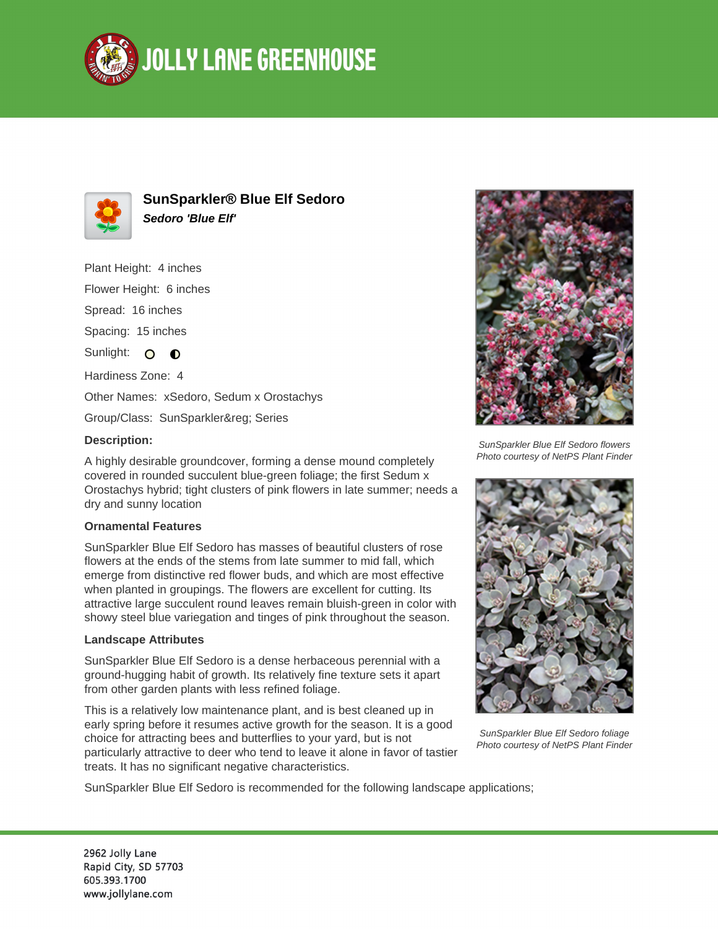



**SunSparkler® Blue Elf Sedoro Sedoro 'Blue Elf'**

Plant Height: 4 inches Flower Height: 6 inches Spread: 16 inches Spacing: 15 inches Sunlight: O  $\bullet$ Hardiness Zone: 4 Other Names: xSedoro, Sedum x Orostachys Group/Class: SunSparkler® Series

## **Description:**

A highly desirable groundcover, forming a dense mound completely covered in rounded succulent blue-green foliage; the first Sedum x Orostachys hybrid; tight clusters of pink flowers in late summer; needs a dry and sunny location

## **Ornamental Features**

SunSparkler Blue Elf Sedoro has masses of beautiful clusters of rose flowers at the ends of the stems from late summer to mid fall, which emerge from distinctive red flower buds, and which are most effective when planted in groupings. The flowers are excellent for cutting. Its attractive large succulent round leaves remain bluish-green in color with showy steel blue variegation and tinges of pink throughout the season.

## **Landscape Attributes**

SunSparkler Blue Elf Sedoro is a dense herbaceous perennial with a ground-hugging habit of growth. Its relatively fine texture sets it apart from other garden plants with less refined foliage.

This is a relatively low maintenance plant, and is best cleaned up in early spring before it resumes active growth for the season. It is a good choice for attracting bees and butterflies to your yard, but is not particularly attractive to deer who tend to leave it alone in favor of tastier treats. It has no significant negative characteristics.



SunSparkler Blue Elf Sedoro flowers Photo courtesy of NetPS Plant Finder



SunSparkler Blue Elf Sedoro foliage Photo courtesy of NetPS Plant Finder

SunSparkler Blue Elf Sedoro is recommended for the following landscape applications;

2962 Jolly Lane Rapid City, SD 57703 605.393.1700 www.jollylane.com